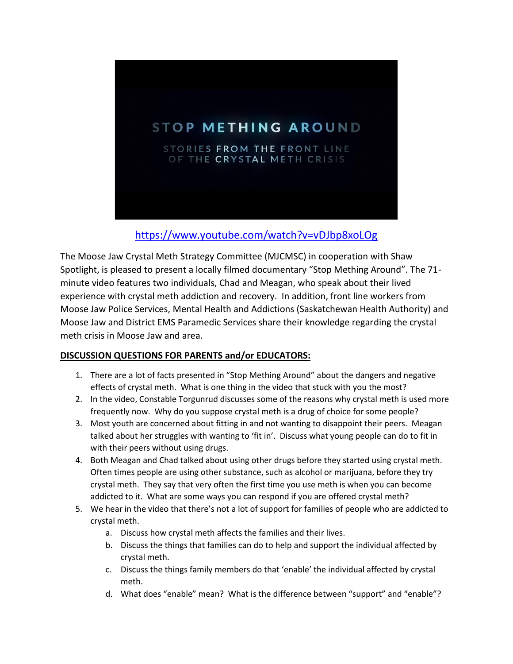

## <https://www.youtube.com/watch?v=vDJbp8xoLOg>

The Moose Jaw Crystal Meth Strategy Committee (MJCMSC) in cooperation with Shaw Spotlight, is pleased to present a locally filmed documentary "Stop Mething Around". The 71 minute video features two individuals, Chad and Meagan, who speak about their lived experience with crystal meth addiction and recovery. In addition, front line workers from Moose Jaw Police Services, Mental Health and Addictions (Saskatchewan Health Authority) and Moose Jaw and District EMS Paramedic Services share their knowledge regarding the crystal meth crisis in Moose Jaw and area.

## **DISCUSSION QUESTIONS FOR PARENTS and/or EDUCATORS:**

- 1. There are a lot of facts presented in "Stop Mething Around" about the dangers and negative effects of crystal meth. What is one thing in the video that stuck with you the most?
- 2. In the video, Constable Torgunrud discusses some of the reasons why crystal meth is used more frequently now. Why do you suppose crystal meth is a drug of choice for some people?
- 3. Most youth are concerned about fitting in and not wanting to disappoint their peers. Meagan talked about her struggles with wanting to 'fit in'. Discuss what young people can do to fit in with their peers without using drugs.
- 4. Both Meagan and Chad talked about using other drugs before they started using crystal meth. Often times people are using other substance, such as alcohol or marijuana, before they try crystal meth. They say that very often the first time you use meth is when you can become addicted to it. What are some ways you can respond if you are offered crystal meth?
- 5. We hear in the video that there's not a lot of support for families of people who are addicted to crystal meth.
	- a. Discuss how crystal meth affects the families and their lives.
	- b. Discuss the things that families can do to help and support the individual affected by crystal meth.
	- c. Discuss the things family members do that 'enable' the individual affected by crystal meth.
	- d. What does "enable" mean? What is the difference between "support" and "enable"?